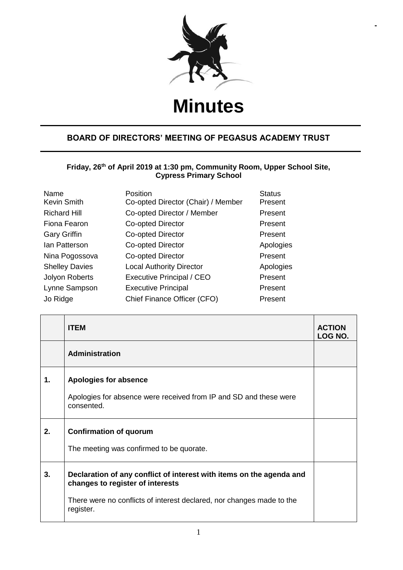

**-**

## **Minutes**

## **BOARD OF DIRECTORS' MEETING OF PEGASUS ACADEMY TRUST**

## **Friday, 26th of April 2019 at 1:30 pm, Community Room, Upper School Site, Cypress Primary School**

| Name<br><b>Kevin Smith</b> | Position<br>Co-opted Director (Chair) / Member | <b>Status</b><br>Present |
|----------------------------|------------------------------------------------|--------------------------|
| <b>Richard Hill</b>        | Co-opted Director / Member                     | Present                  |
| Fiona Fearon               | Co-opted Director                              | Present                  |
| <b>Gary Griffin</b>        | Co-opted Director                              | Present                  |
| lan Patterson              | Co-opted Director                              | Apologies                |
| Nina Pogossova             | Co-opted Director                              | Present                  |
| <b>Shelley Davies</b>      | <b>Local Authority Director</b>                | Apologies                |
| Jolyon Roberts             | <b>Executive Principal / CEO</b>               | Present                  |
| Lynne Sampson              | <b>Executive Principal</b>                     | Present                  |
| Jo Ridge                   | Chief Finance Officer (CFO)                    | Present                  |

|    | <b>ITEM</b>                                                                                                                                                                                    | <b>ACTION</b><br>LOG NO. |
|----|------------------------------------------------------------------------------------------------------------------------------------------------------------------------------------------------|--------------------------|
|    | <b>Administration</b>                                                                                                                                                                          |                          |
| 1. | Apologies for absence<br>Apologies for absence were received from IP and SD and these were<br>consented.                                                                                       |                          |
| 2. | <b>Confirmation of quorum</b><br>The meeting was confirmed to be quorate.                                                                                                                      |                          |
| 3. | Declaration of any conflict of interest with items on the agenda and<br>changes to register of interests<br>There were no conflicts of interest declared, nor changes made to the<br>register. |                          |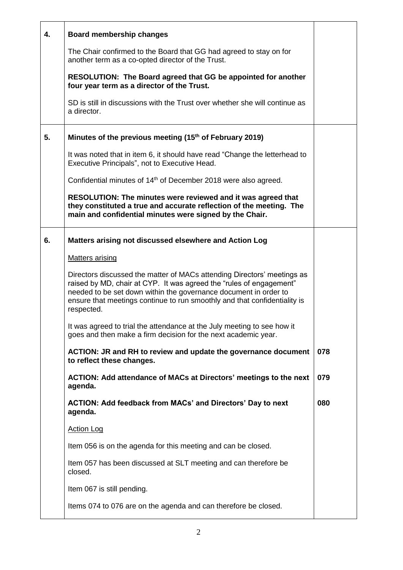| 4. | <b>Board membership changes</b>                                                                                                                                                                                                                                                                               |     |
|----|---------------------------------------------------------------------------------------------------------------------------------------------------------------------------------------------------------------------------------------------------------------------------------------------------------------|-----|
|    | The Chair confirmed to the Board that GG had agreed to stay on for<br>another term as a co-opted director of the Trust.                                                                                                                                                                                       |     |
|    | RESOLUTION: The Board agreed that GG be appointed for another<br>four year term as a director of the Trust.                                                                                                                                                                                                   |     |
|    | SD is still in discussions with the Trust over whether she will continue as<br>a director.                                                                                                                                                                                                                    |     |
| 5. | Minutes of the previous meeting (15 <sup>th</sup> of February 2019)                                                                                                                                                                                                                                           |     |
|    | It was noted that in item 6, it should have read "Change the letterhead to<br>Executive Principals", not to Executive Head.                                                                                                                                                                                   |     |
|    | Confidential minutes of 14 <sup>th</sup> of December 2018 were also agreed.                                                                                                                                                                                                                                   |     |
|    | RESOLUTION: The minutes were reviewed and it was agreed that<br>they constituted a true and accurate reflection of the meeting. The<br>main and confidential minutes were signed by the Chair.                                                                                                                |     |
| 6. | Matters arising not discussed elsewhere and Action Log                                                                                                                                                                                                                                                        |     |
|    | <b>Matters arising</b>                                                                                                                                                                                                                                                                                        |     |
|    | Directors discussed the matter of MACs attending Directors' meetings as<br>raised by MD, chair at CYP. It was agreed the "rules of engagement"<br>needed to be set down within the governance document in order to<br>ensure that meetings continue to run smoothly and that confidentiality is<br>respected. |     |
|    | It was agreed to trial the attendance at the July meeting to see how it<br>goes and then make a firm decision for the next academic year.                                                                                                                                                                     |     |
|    | ACTION: JR and RH to review and update the governance document<br>to reflect these changes.                                                                                                                                                                                                                   | 078 |
|    | ACTION: Add attendance of MACs at Directors' meetings to the next<br>agenda.                                                                                                                                                                                                                                  | 079 |
|    | <b>ACTION: Add feedback from MACs' and Directors' Day to next</b><br>agenda.                                                                                                                                                                                                                                  | 080 |
|    | <b>Action Log</b>                                                                                                                                                                                                                                                                                             |     |
|    | Item 056 is on the agenda for this meeting and can be closed.                                                                                                                                                                                                                                                 |     |
|    | Item 057 has been discussed at SLT meeting and can therefore be<br>closed.                                                                                                                                                                                                                                    |     |
|    | Item 067 is still pending.                                                                                                                                                                                                                                                                                    |     |
|    | Items 074 to 076 are on the agenda and can therefore be closed.                                                                                                                                                                                                                                               |     |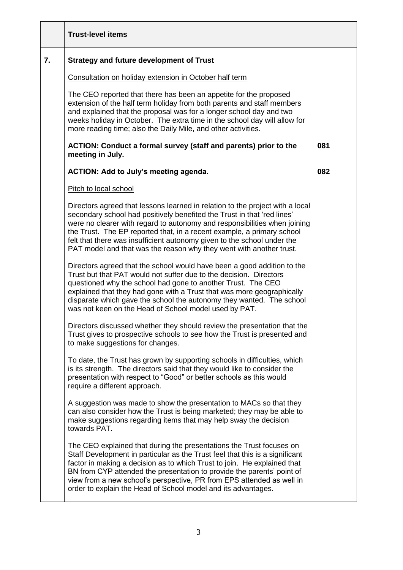|                  | <b>Trust-level items</b>                                                                                                                                                                                                                                                                                                                                                                                                                                          |     |
|------------------|-------------------------------------------------------------------------------------------------------------------------------------------------------------------------------------------------------------------------------------------------------------------------------------------------------------------------------------------------------------------------------------------------------------------------------------------------------------------|-----|
| $\overline{7}$ . | <b>Strategy and future development of Trust</b>                                                                                                                                                                                                                                                                                                                                                                                                                   |     |
|                  | Consultation on holiday extension in October half term                                                                                                                                                                                                                                                                                                                                                                                                            |     |
|                  | The CEO reported that there has been an appetite for the proposed<br>extension of the half term holiday from both parents and staff members<br>and explained that the proposal was for a longer school day and two<br>weeks holiday in October. The extra time in the school day will allow for<br>more reading time; also the Daily Mile, and other activities.                                                                                                  |     |
|                  | ACTION: Conduct a formal survey (staff and parents) prior to the<br>meeting in July.                                                                                                                                                                                                                                                                                                                                                                              | 081 |
|                  | ACTION: Add to July's meeting agenda.                                                                                                                                                                                                                                                                                                                                                                                                                             | 082 |
|                  | Pitch to local school                                                                                                                                                                                                                                                                                                                                                                                                                                             |     |
|                  | Directors agreed that lessons learned in relation to the project with a local<br>secondary school had positively benefited the Trust in that 'red lines'<br>were no clearer with regard to autonomy and responsibilities when joining<br>the Trust. The EP reported that, in a recent example, a primary school<br>felt that there was insufficient autonomy given to the school under the<br>PAT model and that was the reason why they went with another trust. |     |
|                  | Directors agreed that the school would have been a good addition to the<br>Trust but that PAT would not suffer due to the decision. Directors<br>questioned why the school had gone to another Trust. The CEO<br>explained that they had gone with a Trust that was more geographically<br>disparate which gave the school the autonomy they wanted. The school<br>was not keen on the Head of School model used by PAT.                                          |     |
|                  | Directors discussed whether they should review the presentation that the<br>Trust gives to prospective schools to see how the Trust is presented and<br>to make suggestions for changes.                                                                                                                                                                                                                                                                          |     |
|                  | To date, the Trust has grown by supporting schools in difficulties, which<br>is its strength. The directors said that they would like to consider the<br>presentation with respect to "Good" or better schools as this would<br>require a different approach.                                                                                                                                                                                                     |     |
|                  | A suggestion was made to show the presentation to MACs so that they<br>can also consider how the Trust is being marketed; they may be able to<br>make suggestions regarding items that may help sway the decision<br>towards PAT.                                                                                                                                                                                                                                 |     |
|                  | The CEO explained that during the presentations the Trust focuses on<br>Staff Development in particular as the Trust feel that this is a significant<br>factor in making a decision as to which Trust to join. He explained that<br>BN from CYP attended the presentation to provide the parents' point of<br>view from a new school's perspective, PR from EPS attended as well in<br>order to explain the Head of School model and its advantages.              |     |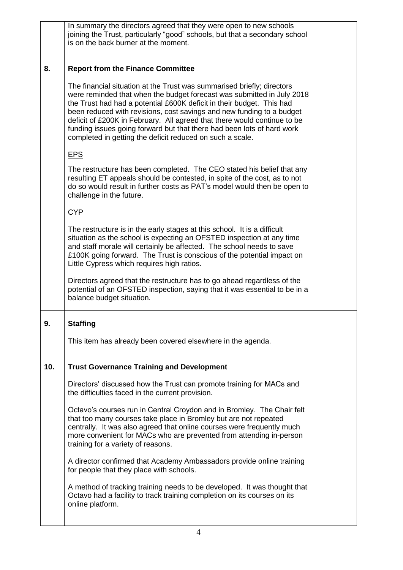|     | In summary the directors agreed that they were open to new schools<br>joining the Trust, particularly "good" schools, but that a secondary school<br>is on the back burner at the moment.                                                                                                                                                                                                                                                                                                                             |  |
|-----|-----------------------------------------------------------------------------------------------------------------------------------------------------------------------------------------------------------------------------------------------------------------------------------------------------------------------------------------------------------------------------------------------------------------------------------------------------------------------------------------------------------------------|--|
| 8.  | <b>Report from the Finance Committee</b>                                                                                                                                                                                                                                                                                                                                                                                                                                                                              |  |
|     | The financial situation at the Trust was summarised briefly; directors<br>were reminded that when the budget forecast was submitted in July 2018<br>the Trust had had a potential £600K deficit in their budget. This had<br>been reduced with revisions, cost savings and new funding to a budget<br>deficit of £200K in February. All agreed that there would continue to be<br>funding issues going forward but that there had been lots of hard work<br>completed in getting the deficit reduced on such a scale. |  |
|     | <b>EPS</b>                                                                                                                                                                                                                                                                                                                                                                                                                                                                                                            |  |
|     | The restructure has been completed. The CEO stated his belief that any<br>resulting ET appeals should be contested, in spite of the cost, as to not<br>do so would result in further costs as PAT's model would then be open to<br>challenge in the future.                                                                                                                                                                                                                                                           |  |
|     | <b>CYP</b>                                                                                                                                                                                                                                                                                                                                                                                                                                                                                                            |  |
|     | The restructure is in the early stages at this school. It is a difficult<br>situation as the school is expecting an OFSTED inspection at any time<br>and staff morale will certainly be affected. The school needs to save<br>£100K going forward. The Trust is conscious of the potential impact on<br>Little Cypress which requires high ratios.                                                                                                                                                                    |  |
|     | Directors agreed that the restructure has to go ahead regardless of the<br>potential of an OFSTED inspection, saying that it was essential to be in a<br>balance budget situation.                                                                                                                                                                                                                                                                                                                                    |  |
| ັນ. | <b>Staffing</b>                                                                                                                                                                                                                                                                                                                                                                                                                                                                                                       |  |
|     | This item has already been covered elsewhere in the agenda.                                                                                                                                                                                                                                                                                                                                                                                                                                                           |  |
| 10. | <b>Trust Governance Training and Development</b>                                                                                                                                                                                                                                                                                                                                                                                                                                                                      |  |
|     | Directors' discussed how the Trust can promote training for MACs and<br>the difficulties faced in the current provision.                                                                                                                                                                                                                                                                                                                                                                                              |  |
|     | Octavo's courses run in Central Croydon and in Bromley. The Chair felt<br>that too many courses take place in Bromley but are not repeated<br>centrally. It was also agreed that online courses were frequently much<br>more convenient for MACs who are prevented from attending in-person<br>training for a variety of reasons.                                                                                                                                                                                     |  |
|     | A director confirmed that Academy Ambassadors provide online training<br>for people that they place with schools.                                                                                                                                                                                                                                                                                                                                                                                                     |  |
|     | A method of tracking training needs to be developed. It was thought that<br>Octavo had a facility to track training completion on its courses on its<br>online platform.                                                                                                                                                                                                                                                                                                                                              |  |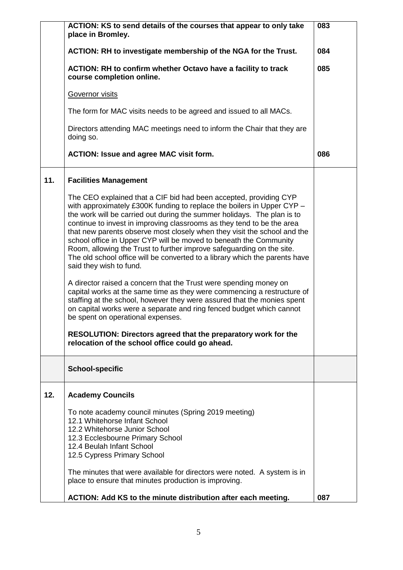|     | ACTION: KS to send details of the courses that appear to only take<br>place in Bromley.                                                                                                                                                                                                                                                                                                                                                                                                                                                                                                                                              | 083 |
|-----|--------------------------------------------------------------------------------------------------------------------------------------------------------------------------------------------------------------------------------------------------------------------------------------------------------------------------------------------------------------------------------------------------------------------------------------------------------------------------------------------------------------------------------------------------------------------------------------------------------------------------------------|-----|
|     | ACTION: RH to investigate membership of the NGA for the Trust.                                                                                                                                                                                                                                                                                                                                                                                                                                                                                                                                                                       | 084 |
|     | ACTION: RH to confirm whether Octavo have a facility to track<br>course completion online.                                                                                                                                                                                                                                                                                                                                                                                                                                                                                                                                           | 085 |
|     | Governor visits                                                                                                                                                                                                                                                                                                                                                                                                                                                                                                                                                                                                                      |     |
|     | The form for MAC visits needs to be agreed and issued to all MACs.                                                                                                                                                                                                                                                                                                                                                                                                                                                                                                                                                                   |     |
|     | Directors attending MAC meetings need to inform the Chair that they are<br>doing so.                                                                                                                                                                                                                                                                                                                                                                                                                                                                                                                                                 |     |
|     | <b>ACTION: Issue and agree MAC visit form.</b>                                                                                                                                                                                                                                                                                                                                                                                                                                                                                                                                                                                       | 086 |
| 11. | <b>Facilities Management</b>                                                                                                                                                                                                                                                                                                                                                                                                                                                                                                                                                                                                         |     |
|     | The CEO explained that a CIF bid had been accepted, providing CYP<br>with approximately £300K funding to replace the boilers in Upper CYP -<br>the work will be carried out during the summer holidays. The plan is to<br>continue to invest in improving classrooms as they tend to be the area<br>that new parents observe most closely when they visit the school and the<br>school office in Upper CYP will be moved to beneath the Community<br>Room, allowing the Trust to further improve safeguarding on the site.<br>The old school office will be converted to a library which the parents have<br>said they wish to fund. |     |
|     | A director raised a concern that the Trust were spending money on<br>capital works at the same time as they were commencing a restructure of<br>staffing at the school, however they were assured that the monies spent<br>on capital works were a separate and ring fenced budget which cannot<br>be spent on operational expenses.                                                                                                                                                                                                                                                                                                 |     |
|     | RESOLUTION: Directors agreed that the preparatory work for the<br>relocation of the school office could go ahead.                                                                                                                                                                                                                                                                                                                                                                                                                                                                                                                    |     |
|     | <b>School-specific</b>                                                                                                                                                                                                                                                                                                                                                                                                                                                                                                                                                                                                               |     |
| 12. | <b>Academy Councils</b>                                                                                                                                                                                                                                                                                                                                                                                                                                                                                                                                                                                                              |     |
|     | To note academy council minutes (Spring 2019 meeting)<br>12.1 Whitehorse Infant School<br>12.2 Whitehorse Junior School<br>12.3 Ecclesbourne Primary School<br>12.4 Beulah Infant School<br>12.5 Cypress Primary School                                                                                                                                                                                                                                                                                                                                                                                                              |     |
|     | The minutes that were available for directors were noted. A system is in<br>place to ensure that minutes production is improving.                                                                                                                                                                                                                                                                                                                                                                                                                                                                                                    |     |
|     | ACTION: Add KS to the minute distribution after each meeting.                                                                                                                                                                                                                                                                                                                                                                                                                                                                                                                                                                        | 087 |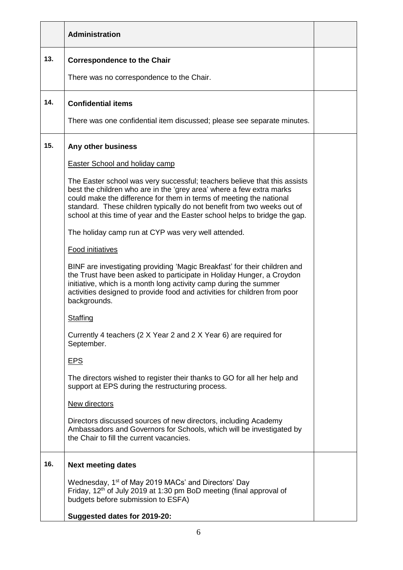|     | Administration                                                                                                                                                                                                                                                                                                                                                                    |  |
|-----|-----------------------------------------------------------------------------------------------------------------------------------------------------------------------------------------------------------------------------------------------------------------------------------------------------------------------------------------------------------------------------------|--|
| 13. | <b>Correspondence to the Chair</b>                                                                                                                                                                                                                                                                                                                                                |  |
|     | There was no correspondence to the Chair.                                                                                                                                                                                                                                                                                                                                         |  |
| 14. | <b>Confidential items</b>                                                                                                                                                                                                                                                                                                                                                         |  |
|     | There was one confidential item discussed; please see separate minutes.                                                                                                                                                                                                                                                                                                           |  |
| 15. | Any other business                                                                                                                                                                                                                                                                                                                                                                |  |
|     | <b>Easter School and holiday camp</b>                                                                                                                                                                                                                                                                                                                                             |  |
|     | The Easter school was very successful; teachers believe that this assists<br>best the children who are in the 'grey area' where a few extra marks<br>could make the difference for them in terms of meeting the national<br>standard. These children typically do not benefit from two weeks out of<br>school at this time of year and the Easter school helps to bridge the gap. |  |
|     | The holiday camp run at CYP was very well attended.                                                                                                                                                                                                                                                                                                                               |  |
|     | <b>Food initiatives</b>                                                                                                                                                                                                                                                                                                                                                           |  |
|     | BINF are investigating providing 'Magic Breakfast' for their children and<br>the Trust have been asked to participate in Holiday Hunger, a Croydon<br>initiative, which is a month long activity camp during the summer<br>activities designed to provide food and activities for children from poor<br>backgrounds.                                                              |  |
|     | Staffing                                                                                                                                                                                                                                                                                                                                                                          |  |
|     | Currently 4 teachers (2 X Year 2 and 2 X Year 6) are required for<br>September.                                                                                                                                                                                                                                                                                                   |  |
|     | <b>EPS</b>                                                                                                                                                                                                                                                                                                                                                                        |  |
|     | The directors wished to register their thanks to GO for all her help and<br>support at EPS during the restructuring process.                                                                                                                                                                                                                                                      |  |
|     | New directors                                                                                                                                                                                                                                                                                                                                                                     |  |
|     | Directors discussed sources of new directors, including Academy<br>Ambassadors and Governors for Schools, which will be investigated by<br>the Chair to fill the current vacancies.                                                                                                                                                                                               |  |
| 16. | <b>Next meeting dates</b>                                                                                                                                                                                                                                                                                                                                                         |  |
|     | Wednesday, 1 <sup>st</sup> of May 2019 MACs' and Directors' Day<br>Friday, 12 <sup>th</sup> of July 2019 at 1:30 pm BoD meeting (final approval of<br>budgets before submission to ESFA)<br>Suggested dates for 2019-20:                                                                                                                                                          |  |